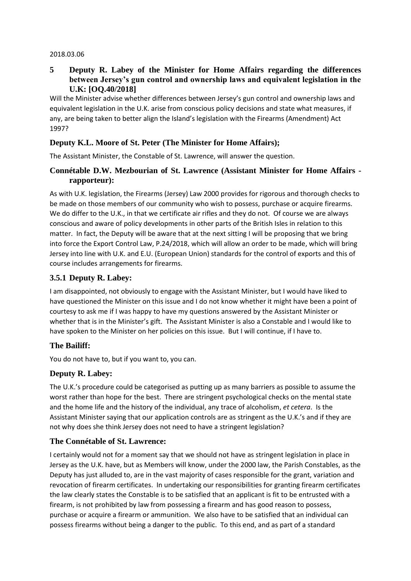#### 2018.03.06

#### **5 Deputy R. Labey of the Minister for Home Affairs regarding the differences between Jersey's gun control and ownership laws and equivalent legislation in the U.K: [OQ.40/2018]**

Will the Minister advise whether differences between Jersey's gun control and ownership laws and equivalent legislation in the U.K. arise from conscious policy decisions and state what measures, if any, are being taken to better align the Island's legislation with the Firearms (Amendment) Act 1997?

#### **Deputy K.L. Moore of St. Peter (The Minister for Home Affairs);**

The Assistant Minister, the Constable of St. Lawrence, will answer the question.

#### **Connétable D.W. Mezbourian of St. Lawrence (Assistant Minister for Home Affairs rapporteur):**

As with U.K. legislation, the Firearms (Jersey) Law 2000 provides for rigorous and thorough checks to be made on those members of our community who wish to possess, purchase or acquire firearms. We do differ to the U.K., in that we certificate air rifles and they do not. Of course we are always conscious and aware of policy developments in other parts of the British Isles in relation to this matter. In fact, the Deputy will be aware that at the next sitting I will be proposing that we bring into force the Export Control Law, P.24/2018, which will allow an order to be made, which will bring Jersey into line with U.K. and E.U. (European Union) standards for the control of exports and this of course includes arrangements for firearms.

#### **3.5.1 Deputy R. Labey:**

I am disappointed, not obviously to engage with the Assistant Minister, but I would have liked to have questioned the Minister on this issue and I do not know whether it might have been a point of courtesy to ask me if I was happy to have my questions answered by the Assistant Minister or whether that is in the Minister's gift. The Assistant Minister is also a Constable and I would like to have spoken to the Minister on her policies on this issue. But I will continue, if I have to.

# **The Bailiff:**

You do not have to, but if you want to, you can.

#### **Deputy R. Labey:**

The U.K.'s procedure could be categorised as putting up as many barriers as possible to assume the worst rather than hope for the best. There are stringent psychological checks on the mental state and the home life and the history of the individual, any trace of alcoholism, *et cetera*. Is the Assistant Minister saying that our application controls are as stringent as the U.K.'s and if they are not why does she think Jersey does not need to have a stringent legislation?

# **The Connétable of St. Lawrence:**

I certainly would not for a moment say that we should not have as stringent legislation in place in Jersey as the U.K. have, but as Members will know, under the 2000 law, the Parish Constables, as the Deputy has just alluded to, are in the vast majority of cases responsible for the grant, variation and revocation of firearm certificates. In undertaking our responsibilities for granting firearm certificates the law clearly states the Constable is to be satisfied that an applicant is fit to be entrusted with a firearm, is not prohibited by law from possessing a firearm and has good reason to possess, purchase or acquire a firearm or ammunition. We also have to be satisfied that an individual can possess firearms without being a danger to the public. To this end, and as part of a standard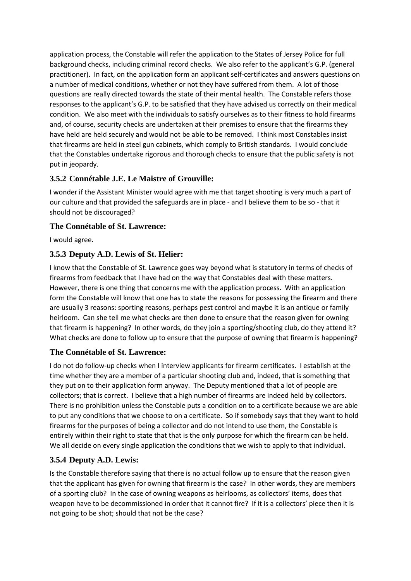application process, the Constable will refer the application to the States of Jersey Police for full background checks, including criminal record checks. We also refer to the applicant's G.P. (general practitioner). In fact, on the application form an applicant self-certificates and answers questions on a number of medical conditions, whether or not they have suffered from them. A lot of those questions are really directed towards the state of their mental health. The Constable refers those responses to the applicant's G.P. to be satisfied that they have advised us correctly on their medical condition. We also meet with the individuals to satisfy ourselves as to their fitness to hold firearms and, of course, security checks are undertaken at their premises to ensure that the firearms they have held are held securely and would not be able to be removed. I think most Constables insist that firearms are held in steel gun cabinets, which comply to British standards. I would conclude that the Constables undertake rigorous and thorough checks to ensure that the public safety is not put in jeopardy.

# **3.5.2 Connétable J.E. Le Maistre of Grouville:**

I wonder if the Assistant Minister would agree with me that target shooting is very much a part of our culture and that provided the safeguards are in place - and I believe them to be so - that it should not be discouraged?

# **The Connétable of St. Lawrence:**

I would agree.

# **3.5.3 Deputy A.D. Lewis of St. Helier:**

I know that the Constable of St. Lawrence goes way beyond what is statutory in terms of checks of firearms from feedback that I have had on the way that Constables deal with these matters. However, there is one thing that concerns me with the application process. With an application form the Constable will know that one has to state the reasons for possessing the firearm and there are usually 3 reasons: sporting reasons, perhaps pest control and maybe it is an antique or family heirloom. Can she tell me what checks are then done to ensure that the reason given for owning that firearm is happening? In other words, do they join a sporting/shooting club, do they attend it? What checks are done to follow up to ensure that the purpose of owning that firearm is happening?

# **The Connétable of St. Lawrence:**

I do not do follow-up checks when I interview applicants for firearm certificates. I establish at the time whether they are a member of a particular shooting club and, indeed, that is something that they put on to their application form anyway. The Deputy mentioned that a lot of people are collectors; that is correct. I believe that a high number of firearms are indeed held by collectors. There is no prohibition unless the Constable puts a condition on to a certificate because we are able to put any conditions that we choose to on a certificate. So if somebody says that they want to hold firearms for the purposes of being a collector and do not intend to use them, the Constable is entirely within their right to state that that is the only purpose for which the firearm can be held. We all decide on every single application the conditions that we wish to apply to that individual.

# **3.5.4 Deputy A.D. Lewis:**

Is the Constable therefore saying that there is no actual follow up to ensure that the reason given that the applicant has given for owning that firearm is the case? In other words, they are members of a sporting club? In the case of owning weapons as heirlooms, as collectors' items, does that weapon have to be decommissioned in order that it cannot fire? If it is a collectors' piece then it is not going to be shot; should that not be the case?